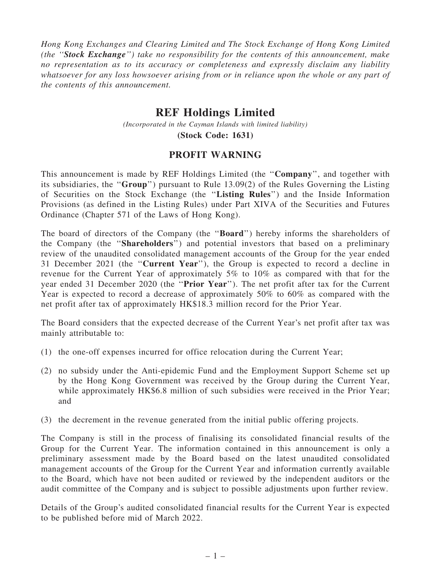Hong Kong Exchanges and Clearing Limited and The Stock Exchange of Hong Kong Limited (the ''Stock Exchange'') take no responsibility for the contents of this announcement, make no representation as to its accuracy or completeness and expressly disclaim any liability whatsoever for any loss howsoever arising from or in reliance upon the whole or any part of the contents of this announcement.

## REF Holdings Limited

(Incorporated in the Cayman Islands with limited liability)

(Stock Code: 1631)

## PROFIT WARNING

This announcement is made by REF Holdings Limited (the "**Company**", and together with its subsidiaries, the ''Group'') pursuant to Rule 13.09(2) of the Rules Governing the Listing of Securities on the Stock Exchange (the ''Listing Rules'') and the Inside Information Provisions (as defined in the Listing Rules) under Part XIVA of the Securities and Futures Ordinance (Chapter 571 of the Laws of Hong Kong).

The board of directors of the Company (the "**Board**") hereby informs the shareholders of the Company (the ''Shareholders'') and potential investors that based on a preliminary review of the unaudited consolidated management accounts of the Group for the year ended 31 December 2021 (the ''Current Year''), the Group is expected to record a decline in revenue for the Current Year of approximately 5% to 10% as compared with that for the year ended 31 December 2020 (the ''Prior Year''). The net profit after tax for the Current Year is expected to record a decrease of approximately 50% to 60% as compared with the net profit after tax of approximately HK\$18.3 million record for the Prior Year.

The Board considers that the expected decrease of the Current Year's net profit after tax was mainly attributable to:

- (1) the one-off expenses incurred for office relocation during the Current Year;
- (2) no subsidy under the Anti-epidemic Fund and the Employment Support Scheme set up by the Hong Kong Government was received by the Group during the Current Year, while approximately HK\$6.8 million of such subsidies were received in the Prior Year; and
- (3) the decrement in the revenue generated from the initial public offering projects.

The Company is still in the process of finalising its consolidated financial results of the Group for the Current Year. The information contained in this announcement is only a preliminary assessment made by the Board based on the latest unaudited consolidated management accounts of the Group for the Current Year and information currently available to the Board, which have not been audited or reviewed by the independent auditors or the audit committee of the Company and is subject to possible adjustments upon further review.

Details of the Group's audited consolidated financial results for the Current Year is expected to be published before mid of March 2022.